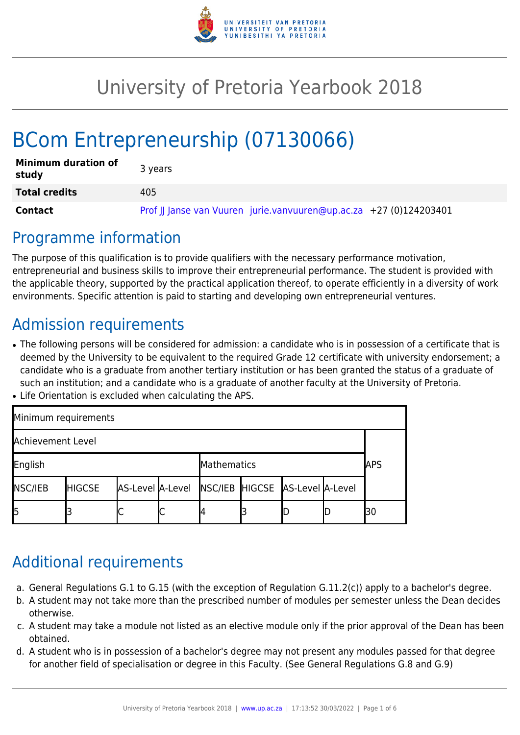

# University of Pretoria Yearbook 2018

# BCom Entrepreneurship (07130066)

| <b>Minimum duration of</b><br>study | 3 years                                                            |
|-------------------------------------|--------------------------------------------------------------------|
| <b>Total credits</b>                | 405                                                                |
| Contact                             | Prof JJ Janse van Vuuren jurie.vanvuuren@up.ac.za +27 (0)124203401 |

### Programme information

The purpose of this qualification is to provide qualifiers with the necessary performance motivation, entrepreneurial and business skills to improve their entrepreneurial performance. The student is provided with the applicable theory, supported by the practical application thereof, to operate efficiently in a diversity of work environments. Specific attention is paid to starting and developing own entrepreneurial ventures.

# Admission requirements

- The following persons will be considered for admission: a candidate who is in possession of a certificate that is deemed by the University to be equivalent to the required Grade 12 certificate with university endorsement; a candidate who is a graduate from another tertiary institution or has been granted the status of a graduate of such an institution; and a candidate who is a graduate of another faculty at the University of Pretoria.
- Life Orientation is excluded when calculating the APS.

| Minimum requirements   |               |                                                  |   |  |  |  |            |    |  |  |
|------------------------|---------------|--------------------------------------------------|---|--|--|--|------------|----|--|--|
| Achievement Level      |               |                                                  |   |  |  |  |            |    |  |  |
| English<br>Mathematics |               |                                                  |   |  |  |  | <b>APS</b> |    |  |  |
| <b>NSC/IEB</b>         | <b>HIGCSE</b> | AS-Level A-Level NSC/IEB HIGCSE AS-Level A-Level |   |  |  |  |            |    |  |  |
| l5                     |               |                                                  | ◡ |  |  |  |            | 30 |  |  |

### Additional requirements

- a. General Regulations G.1 to G.15 (with the exception of Regulation G.11.2(c)) apply to a bachelor's degree.
- b. A student may not take more than the prescribed number of modules per semester unless the Dean decides otherwise.
- c. A student may take a module not listed as an elective module only if the prior approval of the Dean has been obtained.
- d. A student who is in possession of a bachelor's degree may not present any modules passed for that degree for another field of specialisation or degree in this Faculty. (See General Regulations G.8 and G.9)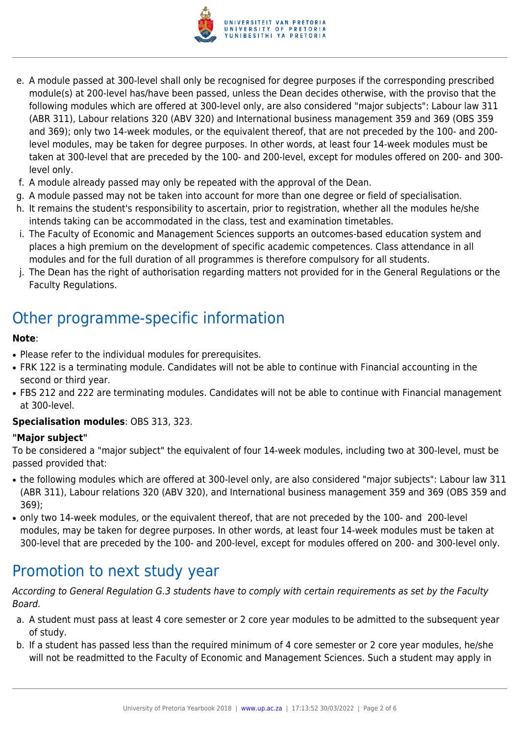

- e. A module passed at 300-level shall only be recognised for degree purposes if the corresponding prescribed module(s) at 200-level has/have been passed, unless the Dean decides otherwise, with the proviso that the following modules which are offered at 300-level only, are also considered "major subjects": Labour law 311 (ABR 311), Labour relations 320 (ABV 320) and International business management 359 and 369 (OBS 359 and 369); only two 14-week modules, or the equivalent thereof, that are not preceded by the 100- and 200 level modules, may be taken for degree purposes. In other words, at least four 14-week modules must be taken at 300-level that are preceded by the 100- and 200-level, except for modules offered on 200- and 300 level only.
- f. A module already passed may only be repeated with the approval of the Dean.
- g. A module passed may not be taken into account for more than one degree or field of specialisation.
- h. It remains the student's responsibility to ascertain, prior to registration, whether all the modules he/she intends taking can be accommodated in the class, test and examination timetables.
- i. The Faculty of Economic and Management Sciences supports an outcomes-based education system and places a high premium on the development of specific academic competences. Class attendance in all modules and for the full duration of all programmes is therefore compulsory for all students.
- j. The Dean has the right of authorisation regarding matters not provided for in the General Regulations or the Faculty Regulations.

# Other programme-specific information

#### **Note**:

- Please refer to the individual modules for prerequisites.
- FRK 122 is a terminating module. Candidates will not be able to continue with Financial accounting in the second or third year.
- FBS 212 and 222 are terminating modules. Candidates will not be able to continue with Financial management at 300-level.

#### **Specialisation modules**: OBS 313, 323.

#### **"Major subject"**

To be considered a "major subject" the equivalent of four 14-week modules, including two at 300-level, must be passed provided that:

- the following modules which are offered at 300-level only, are also considered "major subjects": Labour law 311 (ABR 311), Labour relations 320 (ABV 320), and International business management 359 and 369 (OBS 359 and 369);
- only two 14-week modules, or the equivalent thereof, that are not preceded by the 100- and 200-level modules, may be taken for degree purposes. In other words, at least four 14-week modules must be taken at 300-level that are preceded by the 100- and 200-level, except for modules offered on 200- and 300-level only.

## Promotion to next study year

According to General Regulation G.3 students have to comply with certain requirements as set by the Faculty Board.

- a. A student must pass at least 4 core semester or 2 core year modules to be admitted to the subsequent year of study.
- b. If a student has passed less than the required minimum of 4 core semester or 2 core year modules, he/she will not be readmitted to the Faculty of Economic and Management Sciences. Such a student may apply in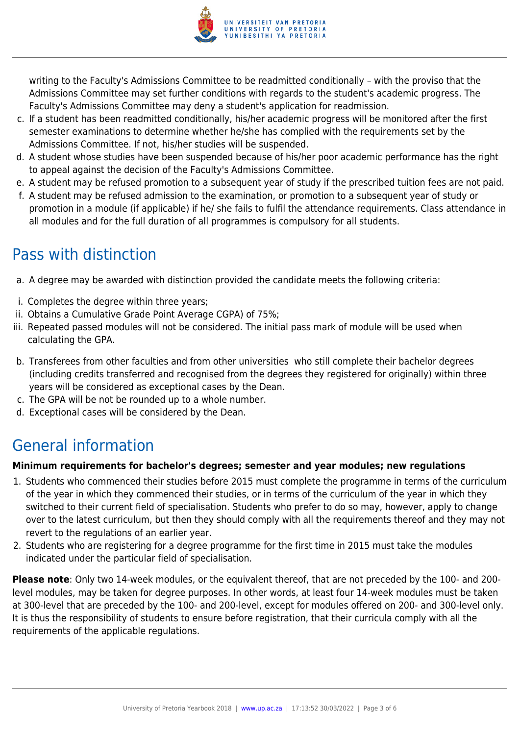

writing to the Faculty's Admissions Committee to be readmitted conditionally – with the proviso that the Admissions Committee may set further conditions with regards to the student's academic progress. The Faculty's Admissions Committee may deny a student's application for readmission.

- c. If a student has been readmitted conditionally, his/her academic progress will be monitored after the first semester examinations to determine whether he/she has complied with the requirements set by the Admissions Committee. If not, his/her studies will be suspended.
- d. A student whose studies have been suspended because of his/her poor academic performance has the right to appeal against the decision of the Faculty's Admissions Committee.
- e. A student may be refused promotion to a subsequent year of study if the prescribed tuition fees are not paid.
- f. A student may be refused admission to the examination, or promotion to a subsequent year of study or promotion in a module (if applicable) if he/ she fails to fulfil the attendance requirements. Class attendance in all modules and for the full duration of all programmes is compulsory for all students.

# Pass with distinction

- a. A degree may be awarded with distinction provided the candidate meets the following criteria:
- i. Completes the degree within three years;
- ii. Obtains a Cumulative Grade Point Average CGPA) of 75%;
- iii. Repeated passed modules will not be considered. The initial pass mark of module will be used when calculating the GPA.
- b. Transferees from other faculties and from other universities who still complete their bachelor degrees (including credits transferred and recognised from the degrees they registered for originally) within three years will be considered as exceptional cases by the Dean.
- c. The GPA will be not be rounded up to a whole number.
- d. Exceptional cases will be considered by the Dean.

# General information

#### **Minimum requirements for bachelor's degrees; semester and year modules; new regulations**

- 1. Students who commenced their studies before 2015 must complete the programme in terms of the curriculum of the year in which they commenced their studies, or in terms of the curriculum of the year in which they switched to their current field of specialisation. Students who prefer to do so may, however, apply to change over to the latest curriculum, but then they should comply with all the requirements thereof and they may not revert to the regulations of an earlier year.
- 2. Students who are registering for a degree programme for the first time in 2015 must take the modules indicated under the particular field of specialisation.

**Please note**: Only two 14-week modules, or the equivalent thereof, that are not preceded by the 100- and 200 level modules, may be taken for degree purposes. In other words, at least four 14-week modules must be taken at 300-level that are preceded by the 100- and 200-level, except for modules offered on 200- and 300-level only. It is thus the responsibility of students to ensure before registration, that their curricula comply with all the requirements of the applicable regulations.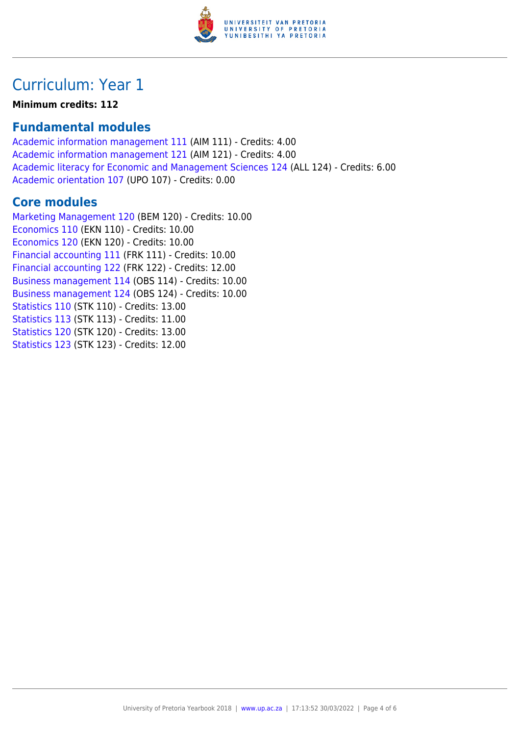

### Curriculum: Year 1

**Minimum credits: 112**

### **Fundamental modules**

[Academic information management 111](https://www.up.ac.za/yearbooks/2018/modules/view/AIM 111) (AIM 111) - Credits: 4.00 [Academic information management 121](https://www.up.ac.za/yearbooks/2018/modules/view/AIM 121) (AIM 121) - Credits: 4.00 [Academic literacy for Economic and Management Sciences 124](https://www.up.ac.za/yearbooks/2018/modules/view/ALL 124) (ALL 124) - Credits: 6.00 [Academic orientation 107](https://www.up.ac.za/yearbooks/2018/modules/view/UPO 107) (UPO 107) - Credits: 0.00

### **Core modules**

[Marketing Management 120](https://www.up.ac.za/yearbooks/2018/modules/view/BEM 120) (BEM 120) - Credits: 10.00 [Economics 110](https://www.up.ac.za/yearbooks/2018/modules/view/EKN 110) (EKN 110) - Credits: 10.00 [Economics 120](https://www.up.ac.za/yearbooks/2018/modules/view/EKN 120) (EKN 120) - Credits: 10.00 [Financial accounting 111](https://www.up.ac.za/yearbooks/2018/modules/view/FRK 111) (FRK 111) - Credits: 10.00 [Financial accounting 122](https://www.up.ac.za/yearbooks/2018/modules/view/FRK 122) (FRK 122) - Credits: 12.00 [Business management 114](https://www.up.ac.za/yearbooks/2018/modules/view/OBS 114) (OBS 114) - Credits: 10.00 [Business management 124](https://www.up.ac.za/yearbooks/2018/modules/view/OBS 124) (OBS 124) - Credits: 10.00 [Statistics 110](https://www.up.ac.za/yearbooks/2018/modules/view/STK 110) (STK 110) - Credits: 13.00 [Statistics 113](https://www.up.ac.za/yearbooks/2018/modules/view/STK 113) (STK 113) - Credits: 11.00 [Statistics 120](https://www.up.ac.za/yearbooks/2018/modules/view/STK 120) (STK 120) - Credits: 13.00 [Statistics 123](https://www.up.ac.za/yearbooks/2018/modules/view/STK 123) (STK 123) - Credits: 12.00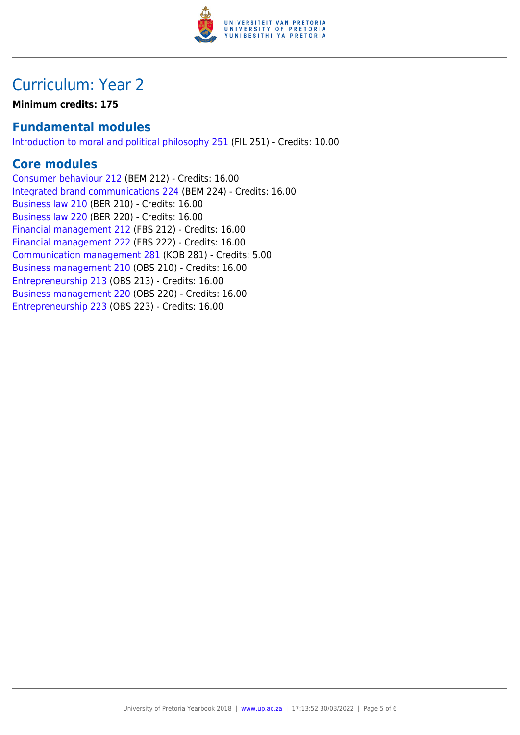

## Curriculum: Year 2

**Minimum credits: 175**

### **Fundamental modules**

[Introduction to moral and political philosophy 251](https://www.up.ac.za/yearbooks/2018/modules/view/FIL 251) (FIL 251) - Credits: 10.00

### **Core modules**

[Consumer behaviour 212](https://www.up.ac.za/yearbooks/2018/modules/view/BEM 212) (BEM 212) - Credits: 16.00 [Integrated brand communications 224](https://www.up.ac.za/yearbooks/2018/modules/view/BEM 224) (BEM 224) - Credits: 16.00 [Business law 210](https://www.up.ac.za/yearbooks/2018/modules/view/BER 210) (BER 210) - Credits: 16.00 [Business law 220](https://www.up.ac.za/yearbooks/2018/modules/view/BER 220) (BER 220) - Credits: 16.00 [Financial management 212](https://www.up.ac.za/yearbooks/2018/modules/view/FBS 212) (FBS 212) - Credits: 16.00 [Financial management 222](https://www.up.ac.za/yearbooks/2018/modules/view/FBS 222) (FBS 222) - Credits: 16.00 [Communication management 281](https://www.up.ac.za/yearbooks/2018/modules/view/KOB 281) (KOB 281) - Credits: 5.00 [Business management 210](https://www.up.ac.za/yearbooks/2018/modules/view/OBS 210) (OBS 210) - Credits: 16.00 [Entrepreneurship 213](https://www.up.ac.za/yearbooks/2018/modules/view/OBS 213) (OBS 213) - Credits: 16.00 [Business management 220](https://www.up.ac.za/yearbooks/2018/modules/view/OBS 220) (OBS 220) - Credits: 16.00 [Entrepreneurship 223](https://www.up.ac.za/yearbooks/2018/modules/view/OBS 223) (OBS 223) - Credits: 16.00